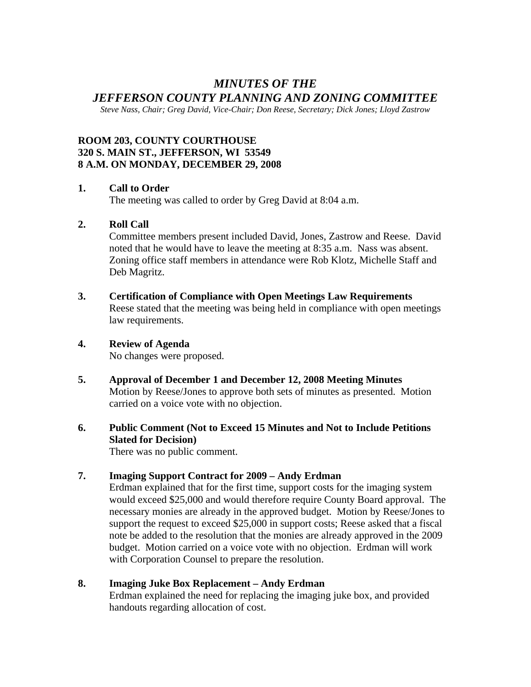# *MINUTES OF THE JEFFERSON COUNTY PLANNING AND ZONING COMMITTEE*

*Steve Nass, Chair; Greg David, Vice-Chair; Don Reese, Secretary; Dick Jones; Lloyd Zastrow* 

## **ROOM 203, COUNTY COURTHOUSE 320 S. MAIN ST., JEFFERSON, WI 53549 8 A.M. ON MONDAY, DECEMBER 29, 2008**

#### **1. Call to Order**

The meeting was called to order by Greg David at 8:04 a.m.

#### **2. Roll Call**

Committee members present included David, Jones, Zastrow and Reese. David noted that he would have to leave the meeting at 8:35 a.m. Nass was absent. Zoning office staff members in attendance were Rob Klotz, Michelle Staff and Deb Magritz.

**3. Certification of Compliance with Open Meetings Law Requirements**  Reese stated that the meeting was being held in compliance with open meetings law requirements.

## **4. Review of Agenda**

No changes were proposed.

- **5. Approval of December 1 and December 12, 2008 Meeting Minutes**  Motion by Reese/Jones to approve both sets of minutes as presented. Motion carried on a voice vote with no objection.
- **6. Public Comment (Not to Exceed 15 Minutes and Not to Include Petitions Slated for Decision)**

There was no public comment.

### **7. Imaging Support Contract for 2009 – Andy Erdman**

Erdman explained that for the first time, support costs for the imaging system would exceed \$25,000 and would therefore require County Board approval. The necessary monies are already in the approved budget. Motion by Reese/Jones to support the request to exceed \$25,000 in support costs; Reese asked that a fiscal note be added to the resolution that the monies are already approved in the 2009 budget. Motion carried on a voice vote with no objection. Erdman will work with Corporation Counsel to prepare the resolution.

#### **8. Imaging Juke Box Replacement – Andy Erdman**

Erdman explained the need for replacing the imaging juke box, and provided handouts regarding allocation of cost.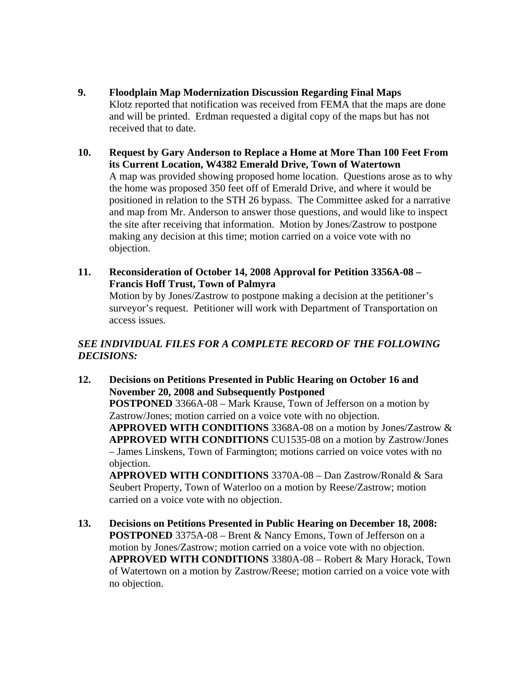- **9. Floodplain Map Modernization Discussion Regarding Final Maps**  Klotz reported that notification was received from FEMA that the maps are done and will be printed. Erdman requested a digital copy of the maps but has not received that to date.
- **10. Request by Gary Anderson to Replace a Home at More Than 100 Feet From its Current Location, W4382 Emerald Drive, Town of Watertown**  A map was provided showing proposed home location. Questions arose as to why the home was proposed 350 feet off of Emerald Drive, and where it would be positioned in relation to the STH 26 bypass. The Committee asked for a narrative and map from Mr. Anderson to answer those questions, and would like to inspect the site after receiving that information. Motion by Jones/Zastrow to postpone making any decision at this time; motion carried on a voice vote with no objection.
- **11. Reconsideration of October 14, 2008 Approval for Petition 3356A-08 Francis Hoff Trust, Town of Palmyra**  Motion by by Jones/Zastrow to postpone making a decision at the petitioner's surveyor's request. Petitioner will work with Department of Transportation on access issues.

## *SEE INDIVIDUAL FILES FOR A COMPLETE RECORD OF THE FOLLOWING DECISIONS:*

**12. Decisions on Petitions Presented in Public Hearing on October 16 and November 20, 2008 and Subsequently Postponed POSTPONED** 3366A-08 – Mark Krause, Town of Jefferson on a motion by Zastrow/Jones; motion carried on a voice vote with no objection. **APPROVED WITH CONDITIONS** 3368A-08 on a motion by Jones/Zastrow & **APPROVED WITH CONDITIONS** CU1535-08 on a motion by Zastrow/Jones – James Linskens, Town of Farmington; motions carried on voice votes with no objection. **APPROVED WITH CONDITIONS** 3370A-08 – Dan Zastrow/Ronald & Sara

Seubert Property, Town of Waterloo on a motion by Reese/Zastrow; motion carried on a voice vote with no objection.

**13. Decisions on Petitions Presented in Public Hearing on December 18, 2008: POSTPONED** 3375A-08 – Brent & Nancy Emons, Town of Jefferson on a motion by Jones/Zastrow; motion carried on a voice vote with no objection. **APPROVED WITH CONDITIONS** 3380A-08 – Robert & Mary Horack, Town of Watertown on a motion by Zastrow/Reese; motion carried on a voice vote with no objection.